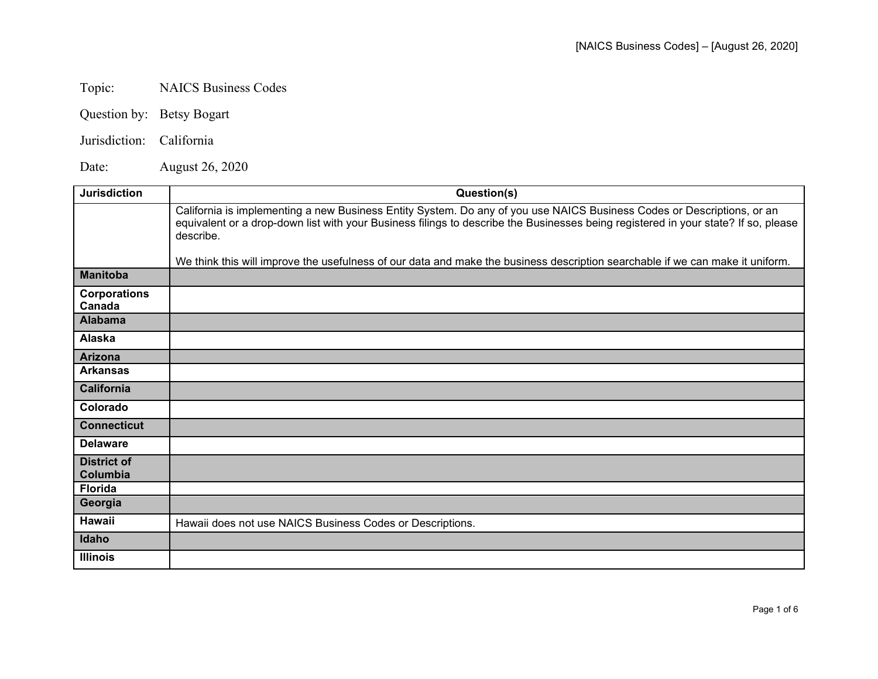## Topic: NAICS Business Codes

- Question by: Betsy Bogart
- Jurisdiction: California

Date: August 26, 2020

| <b>Jurisdiction</b>            | Question(s)                                                                                                                                                                                                                                                               |
|--------------------------------|---------------------------------------------------------------------------------------------------------------------------------------------------------------------------------------------------------------------------------------------------------------------------|
|                                | California is implementing a new Business Entity System. Do any of you use NAICS Business Codes or Descriptions, or an<br>equivalent or a drop-down list with your Business filings to describe the Businesses being registered in your state? If so, please<br>describe. |
|                                | We think this will improve the usefulness of our data and make the business description searchable if we can make it uniform.                                                                                                                                             |
| <b>Manitoba</b>                |                                                                                                                                                                                                                                                                           |
| <b>Corporations</b><br>Canada  |                                                                                                                                                                                                                                                                           |
| <b>Alabama</b>                 |                                                                                                                                                                                                                                                                           |
| Alaska                         |                                                                                                                                                                                                                                                                           |
| Arizona                        |                                                                                                                                                                                                                                                                           |
| <b>Arkansas</b>                |                                                                                                                                                                                                                                                                           |
| <b>California</b>              |                                                                                                                                                                                                                                                                           |
| Colorado                       |                                                                                                                                                                                                                                                                           |
| <b>Connecticut</b>             |                                                                                                                                                                                                                                                                           |
| <b>Delaware</b>                |                                                                                                                                                                                                                                                                           |
| <b>District of</b><br>Columbia |                                                                                                                                                                                                                                                                           |
| <b>Florida</b>                 |                                                                                                                                                                                                                                                                           |
| Georgia                        |                                                                                                                                                                                                                                                                           |
| <b>Hawaii</b>                  | Hawaii does not use NAICS Business Codes or Descriptions.                                                                                                                                                                                                                 |
| Idaho                          |                                                                                                                                                                                                                                                                           |
| <b>Illinois</b>                |                                                                                                                                                                                                                                                                           |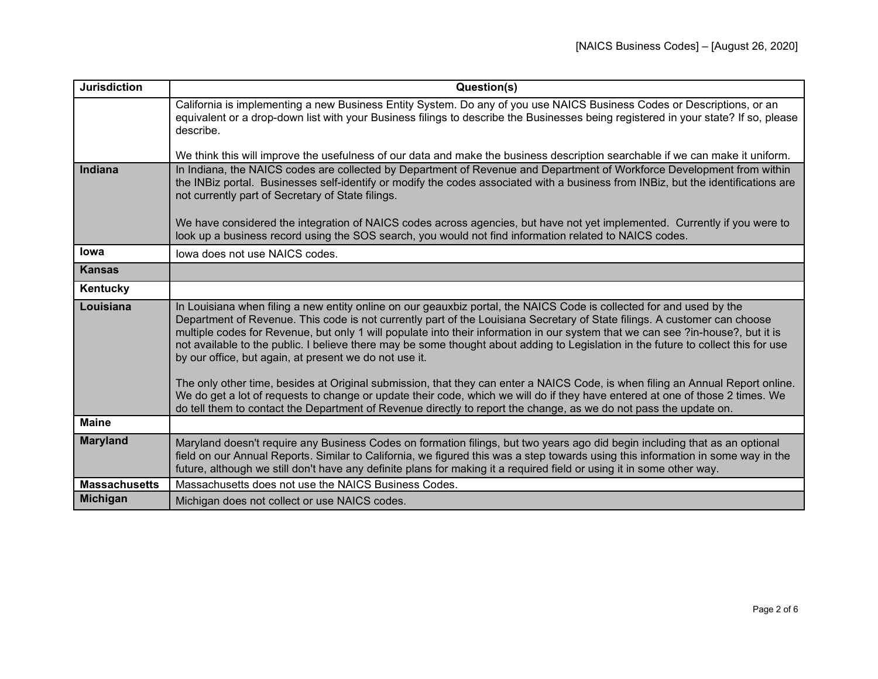| <b>Jurisdiction</b>  | Question(s)                                                                                                                                                                                                                                                                                                                                                                                                                                                                                                                                                                          |
|----------------------|--------------------------------------------------------------------------------------------------------------------------------------------------------------------------------------------------------------------------------------------------------------------------------------------------------------------------------------------------------------------------------------------------------------------------------------------------------------------------------------------------------------------------------------------------------------------------------------|
|                      | California is implementing a new Business Entity System. Do any of you use NAICS Business Codes or Descriptions, or an<br>equivalent or a drop-down list with your Business filings to describe the Businesses being registered in your state? If so, please<br>describe.                                                                                                                                                                                                                                                                                                            |
|                      | We think this will improve the usefulness of our data and make the business description searchable if we can make it uniform.                                                                                                                                                                                                                                                                                                                                                                                                                                                        |
| Indiana              | In Indiana, the NAICS codes are collected by Department of Revenue and Department of Workforce Development from within<br>the INBiz portal. Businesses self-identify or modify the codes associated with a business from INBiz, but the identifications are<br>not currently part of Secretary of State filings.                                                                                                                                                                                                                                                                     |
|                      | We have considered the integration of NAICS codes across agencies, but have not yet implemented. Currently if you were to<br>look up a business record using the SOS search, you would not find information related to NAICS codes.                                                                                                                                                                                                                                                                                                                                                  |
| <b>lowa</b>          | lowa does not use NAICS codes.                                                                                                                                                                                                                                                                                                                                                                                                                                                                                                                                                       |
| <b>Kansas</b>        |                                                                                                                                                                                                                                                                                                                                                                                                                                                                                                                                                                                      |
| Kentucky             |                                                                                                                                                                                                                                                                                                                                                                                                                                                                                                                                                                                      |
| Louisiana            | In Louisiana when filing a new entity online on our geauxbiz portal, the NAICS Code is collected for and used by the<br>Department of Revenue. This code is not currently part of the Louisiana Secretary of State filings. A customer can choose<br>multiple codes for Revenue, but only 1 will populate into their information in our system that we can see ?in-house?, but it is<br>not available to the public. I believe there may be some thought about adding to Legislation in the future to collect this for use<br>by our office, but again, at present we do not use it. |
|                      | The only other time, besides at Original submission, that they can enter a NAICS Code, is when filing an Annual Report online.<br>We do get a lot of requests to change or update their code, which we will do if they have entered at one of those 2 times. We<br>do tell them to contact the Department of Revenue directly to report the change, as we do not pass the update on.                                                                                                                                                                                                 |
| <b>Maine</b>         |                                                                                                                                                                                                                                                                                                                                                                                                                                                                                                                                                                                      |
| <b>Maryland</b>      | Maryland doesn't require any Business Codes on formation filings, but two years ago did begin including that as an optional<br>field on our Annual Reports. Similar to California, we figured this was a step towards using this information in some way in the<br>future, although we still don't have any definite plans for making it a required field or using it in some other way.                                                                                                                                                                                             |
| <b>Massachusetts</b> | Massachusetts does not use the NAICS Business Codes.                                                                                                                                                                                                                                                                                                                                                                                                                                                                                                                                 |
| <b>Michigan</b>      | Michigan does not collect or use NAICS codes.                                                                                                                                                                                                                                                                                                                                                                                                                                                                                                                                        |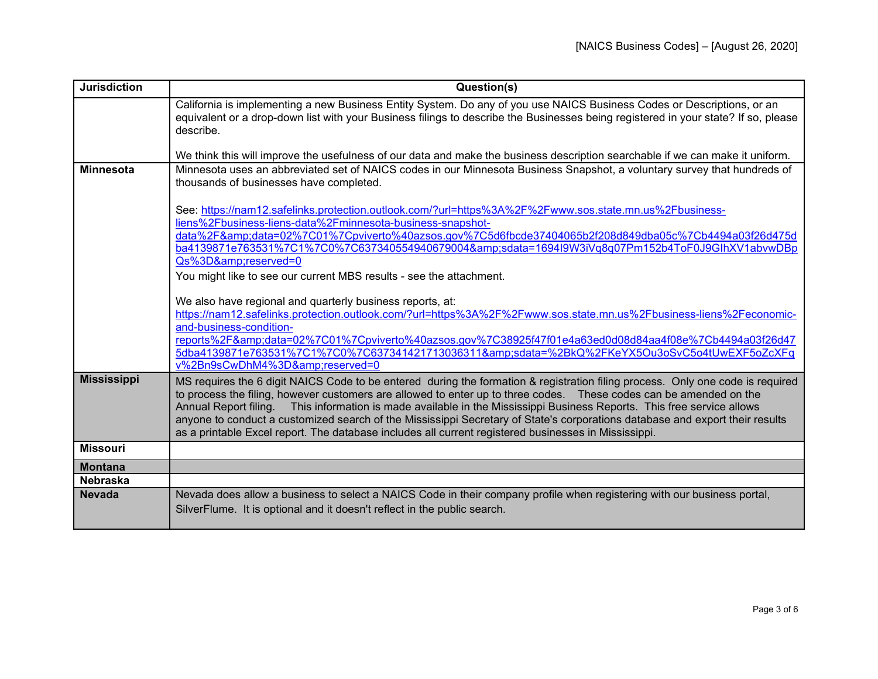| <b>Jurisdiction</b> | Question(s)                                                                                                                                                                                                                                                                                                                                                                                                                                                                                                                                                                                                             |
|---------------------|-------------------------------------------------------------------------------------------------------------------------------------------------------------------------------------------------------------------------------------------------------------------------------------------------------------------------------------------------------------------------------------------------------------------------------------------------------------------------------------------------------------------------------------------------------------------------------------------------------------------------|
|                     | California is implementing a new Business Entity System. Do any of you use NAICS Business Codes or Descriptions, or an<br>equivalent or a drop-down list with your Business filings to describe the Businesses being registered in your state? If so, please<br>describe.                                                                                                                                                                                                                                                                                                                                               |
|                     | We think this will improve the usefulness of our data and make the business description searchable if we can make it uniform.                                                                                                                                                                                                                                                                                                                                                                                                                                                                                           |
| <b>Minnesota</b>    | Minnesota uses an abbreviated set of NAICS codes in our Minnesota Business Snapshot, a voluntary survey that hundreds of<br>thousands of businesses have completed.                                                                                                                                                                                                                                                                                                                                                                                                                                                     |
|                     | See: https://nam12.safelinks.protection.outlook.com/?url=https%3A%2F%2Fwww.sos.state.mn.us%2Fbusiness-<br>liens%2Fbusiness-liens-data%2Fminnesota-business-snapshot-<br>data%2F&data=02%7C01%7Cpviverto%40azsos.gov%7C5d6fbcde37404065b2f208d849dba05c%7Cb4494a03f26d475d<br>ba4139871e763531%7C1%7C0%7C637340554940679004&sdata=1694I9W3iVq8q07Pm152b4ToF0J9GlhXV1abvwDBp                                                                                                                                                                                                                                              |
|                     | Qs%3D&reserved=0<br>You might like to see our current MBS results - see the attachment.                                                                                                                                                                                                                                                                                                                                                                                                                                                                                                                                 |
|                     | We also have regional and quarterly business reports, at:<br>https://nam12.safelinks.protection.outlook.com/?url=https%3A%2F%2Fwww.sos.state.mn.us%2Fbusiness-liens%2Feconomic-<br>and-business-condition-<br>reports%2F&data=02%7C01%7Cpviverto%40azsos.gov%7C38925f47f01e4a63ed0d08d84aa4f08e%7Cb4494a03f26d47<br>5dba4139871e763531%7C1%7C0%7C637341421713036311&sdata=%2BkQ%2FKeYX5Ou3oSvC5o4tUwEXF5oZcXFq<br>v%2Bn9sCwDhM4%3D&reserved=0                                                                                                                                                                           |
| <b>Mississippi</b>  | MS requires the 6 digit NAICS Code to be entered during the formation & registration filing process. Only one code is required<br>to process the filing, however customers are allowed to enter up to three codes.  These codes can be amended on the<br>Annual Report filing. This information is made available in the Mississippi Business Reports. This free service allows<br>anyone to conduct a customized search of the Mississippi Secretary of State's corporations database and export their results<br>as a printable Excel report. The database includes all current registered businesses in Mississippi. |
| <b>Missouri</b>     |                                                                                                                                                                                                                                                                                                                                                                                                                                                                                                                                                                                                                         |
| <b>Montana</b>      |                                                                                                                                                                                                                                                                                                                                                                                                                                                                                                                                                                                                                         |
| <b>Nebraska</b>     |                                                                                                                                                                                                                                                                                                                                                                                                                                                                                                                                                                                                                         |
| <b>Nevada</b>       | Nevada does allow a business to select a NAICS Code in their company profile when registering with our business portal,<br>SilverFlume. It is optional and it doesn't reflect in the public search.                                                                                                                                                                                                                                                                                                                                                                                                                     |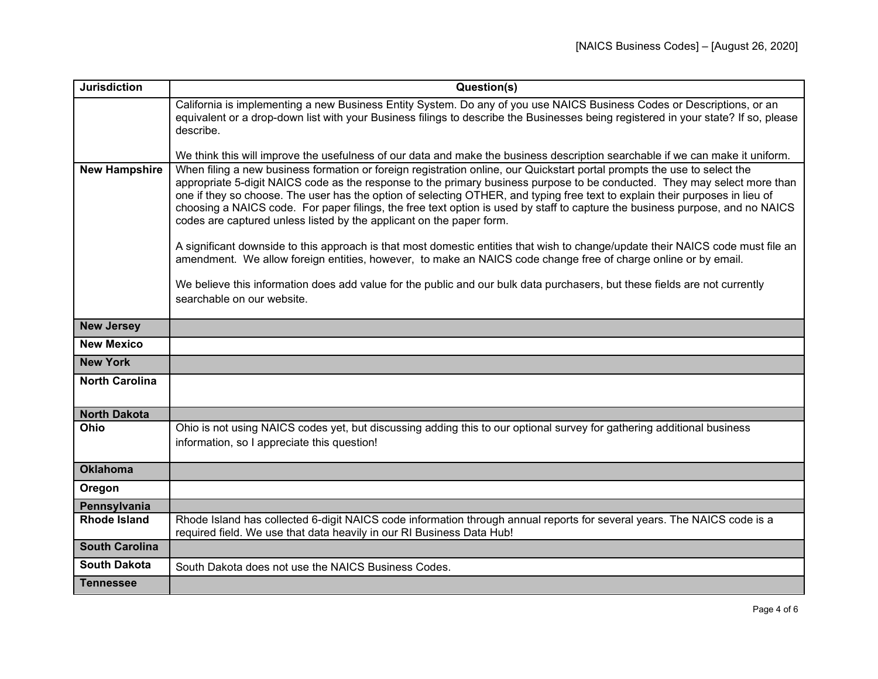| <b>Jurisdiction</b>   | Question(s)                                                                                                                                                                                                                                                                                                                                                                                                                                                                                                                                                                                    |
|-----------------------|------------------------------------------------------------------------------------------------------------------------------------------------------------------------------------------------------------------------------------------------------------------------------------------------------------------------------------------------------------------------------------------------------------------------------------------------------------------------------------------------------------------------------------------------------------------------------------------------|
|                       | California is implementing a new Business Entity System. Do any of you use NAICS Business Codes or Descriptions, or an<br>equivalent or a drop-down list with your Business filings to describe the Businesses being registered in your state? If so, please<br>describe.                                                                                                                                                                                                                                                                                                                      |
|                       | We think this will improve the usefulness of our data and make the business description searchable if we can make it uniform.                                                                                                                                                                                                                                                                                                                                                                                                                                                                  |
| <b>New Hampshire</b>  | When filing a new business formation or foreign registration online, our Quickstart portal prompts the use to select the<br>appropriate 5-digit NAICS code as the response to the primary business purpose to be conducted. They may select more than<br>one if they so choose. The user has the option of selecting OTHER, and typing free text to explain their purposes in lieu of<br>choosing a NAICS code. For paper filings, the free text option is used by staff to capture the business purpose, and no NAICS<br>codes are captured unless listed by the applicant on the paper form. |
|                       | A significant downside to this approach is that most domestic entities that wish to change/update their NAICS code must file an<br>amendment. We allow foreign entities, however, to make an NAICS code change free of charge online or by email.                                                                                                                                                                                                                                                                                                                                              |
|                       | We believe this information does add value for the public and our bulk data purchasers, but these fields are not currently<br>searchable on our website.                                                                                                                                                                                                                                                                                                                                                                                                                                       |
| <b>New Jersey</b>     |                                                                                                                                                                                                                                                                                                                                                                                                                                                                                                                                                                                                |
| <b>New Mexico</b>     |                                                                                                                                                                                                                                                                                                                                                                                                                                                                                                                                                                                                |
| <b>New York</b>       |                                                                                                                                                                                                                                                                                                                                                                                                                                                                                                                                                                                                |
| <b>North Carolina</b> |                                                                                                                                                                                                                                                                                                                                                                                                                                                                                                                                                                                                |
| <b>North Dakota</b>   |                                                                                                                                                                                                                                                                                                                                                                                                                                                                                                                                                                                                |
| Ohio                  | Ohio is not using NAICS codes yet, but discussing adding this to our optional survey for gathering additional business<br>information, so I appreciate this question!                                                                                                                                                                                                                                                                                                                                                                                                                          |
| <b>Oklahoma</b>       |                                                                                                                                                                                                                                                                                                                                                                                                                                                                                                                                                                                                |
| Oregon                |                                                                                                                                                                                                                                                                                                                                                                                                                                                                                                                                                                                                |
| Pennsylvania          |                                                                                                                                                                                                                                                                                                                                                                                                                                                                                                                                                                                                |
| <b>Rhode Island</b>   | Rhode Island has collected 6-digit NAICS code information through annual reports for several years. The NAICS code is a<br>required field. We use that data heavily in our RI Business Data Hub!                                                                                                                                                                                                                                                                                                                                                                                               |
| <b>South Carolina</b> |                                                                                                                                                                                                                                                                                                                                                                                                                                                                                                                                                                                                |
| <b>South Dakota</b>   | South Dakota does not use the NAICS Business Codes.                                                                                                                                                                                                                                                                                                                                                                                                                                                                                                                                            |
| <b>Tennessee</b>      |                                                                                                                                                                                                                                                                                                                                                                                                                                                                                                                                                                                                |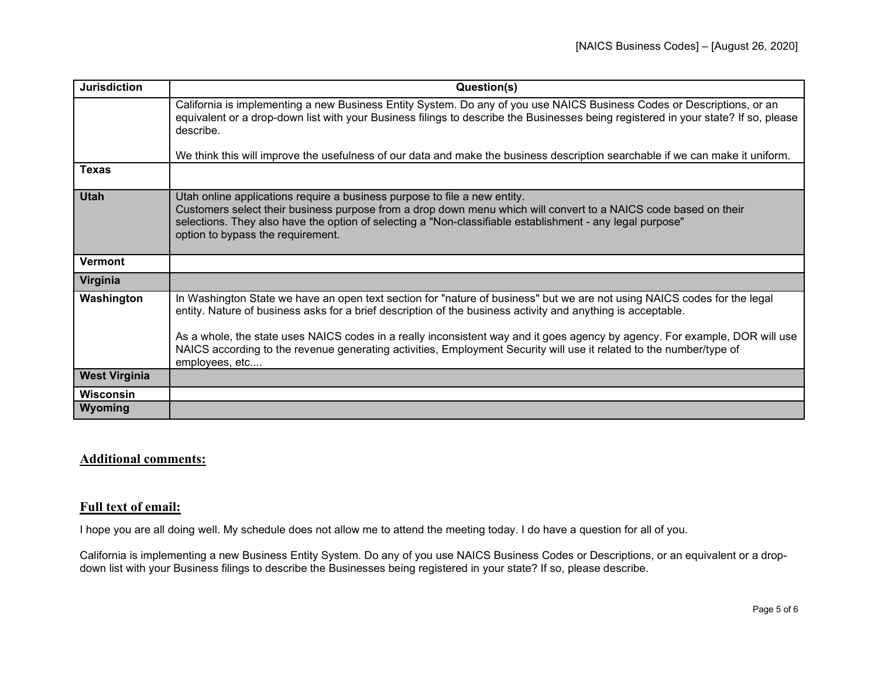| <b>Jurisdiction</b>  | Question(s)                                                                                                                                                                                                                                                                                                                                    |
|----------------------|------------------------------------------------------------------------------------------------------------------------------------------------------------------------------------------------------------------------------------------------------------------------------------------------------------------------------------------------|
|                      | California is implementing a new Business Entity System. Do any of you use NAICS Business Codes or Descriptions, or an<br>equivalent or a drop-down list with your Business filings to describe the Businesses being registered in your state? If so, please<br>describe.                                                                      |
|                      | We think this will improve the usefulness of our data and make the business description searchable if we can make it uniform.                                                                                                                                                                                                                  |
| <b>Texas</b>         |                                                                                                                                                                                                                                                                                                                                                |
| <b>Utah</b>          | Utah online applications require a business purpose to file a new entity.<br>Customers select their business purpose from a drop down menu which will convert to a NAICS code based on their<br>selections. They also have the option of selecting a "Non-classifiable establishment - any legal purpose"<br>option to bypass the requirement. |
| <b>Vermont</b>       |                                                                                                                                                                                                                                                                                                                                                |
| Virginia             |                                                                                                                                                                                                                                                                                                                                                |
| Washington           | In Washington State we have an open text section for "nature of business" but we are not using NAICS codes for the legal<br>entity. Nature of business asks for a brief description of the business activity and anything is acceptable.                                                                                                       |
|                      | As a whole, the state uses NAICS codes in a really inconsistent way and it goes agency by agency. For example, DOR will use<br>NAICS according to the revenue generating activities, Employment Security will use it related to the number/type of<br>employees, etc                                                                           |
| <b>West Virginia</b> |                                                                                                                                                                                                                                                                                                                                                |
| <b>Wisconsin</b>     |                                                                                                                                                                                                                                                                                                                                                |
| Wyoming              |                                                                                                                                                                                                                                                                                                                                                |

## **Additional comments:**

## **Full text of email:**

I hope you are all doing well. My schedule does not allow me to attend the meeting today. I do have a question for all of you.

California is implementing a new Business Entity System. Do any of you use NAICS Business Codes or Descriptions, or an equivalent or a dropdown list with your Business filings to describe the Businesses being registered in your state? If so, please describe.